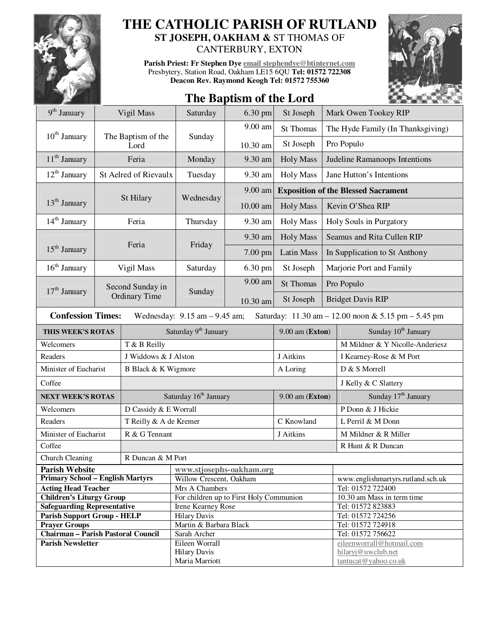

## **THE CATHOLIC PARISH OF RUTLAND ST JOSEPH, OAKHAM &** ST THOMAS OF

CANTERBURY, EXTON

**Parish Priest: Fr Stephen Dye email stephendye@btinternet.com** Presbytery, Station Road, Oakham LE15 6QU **Tel: 01572 722308 Deacon Rev. Raymond Keogh Tel: 01572 755360** 



## **The Baptism of the Lord**

| $9th$ January                                                                                                       |                                   | Vigil Mass                        | Saturday                                | 6.30 pm  | St Joseph         |                                            | Mark Owen Tookey RIP                       |  |
|---------------------------------------------------------------------------------------------------------------------|-----------------------------------|-----------------------------------|-----------------------------------------|----------|-------------------|--------------------------------------------|--------------------------------------------|--|
|                                                                                                                     |                                   |                                   |                                         | 9.00 am  | St Thomas         |                                            | The Hyde Family (In Thanksgiving)          |  |
| $10th$ January                                                                                                      |                                   | The Baptism of the<br>Lord        | Sunday                                  | 10.30 am | St Joseph         | Pro Populo                                 |                                            |  |
| 11 <sup>th</sup> January                                                                                            | Feria                             |                                   | Monday                                  | 9.30 am  | <b>Holy Mass</b>  | Judeline Ramanoops Intentions              |                                            |  |
| 12 <sup>th</sup> January                                                                                            |                                   | <b>St Aelred of Rievaulx</b>      | Tuesday                                 | 9.30 am  | <b>Holy Mass</b>  | Jane Hutton's Intentions                   |                                            |  |
|                                                                                                                     |                                   |                                   | Wednesday                               | 9.00 am  |                   | <b>Exposition of the Blessed Sacrament</b> |                                            |  |
| 13 <sup>th</sup> January                                                                                            |                                   | St Hilary                         |                                         | 10.00 am | <b>Holy Mass</b>  | Kevin O'Shea RIP                           |                                            |  |
| $14th$ January                                                                                                      | Feria                             |                                   | Thursday                                | 9.30 am  | <b>Holy Mass</b>  | Holy Souls in Purgatory                    |                                            |  |
| 15 <sup>th</sup> January                                                                                            |                                   |                                   | Friday                                  | 9.30 am  | <b>Holy Mass</b>  | Seamus and Rita Cullen RIP                 |                                            |  |
|                                                                                                                     |                                   | Feria                             |                                         | 7.00 pm  | <b>Latin Mass</b> | In Supplication to St Anthony              |                                            |  |
| $16th$ January                                                                                                      |                                   | Vigil Mass                        | Saturday                                | 6.30 pm  | St Joseph         | Marjorie Port and Family                   |                                            |  |
|                                                                                                                     | Second Sunday in<br>Ordinary Time |                                   | Sunday                                  | 9.00 am  | <b>St Thomas</b>  | Pro Populo                                 |                                            |  |
| $17th$ January                                                                                                      |                                   |                                   |                                         | 10.30 am | St Joseph         | <b>Bridget Davis RIP</b>                   |                                            |  |
| <b>Confession Times:</b><br>Wednesday: $9.15$ am $-9.45$ am;<br>Saturday: 11.30 am - 12.00 noon & 5.15 pm - 5.45 pm |                                   |                                   |                                         |          |                   |                                            |                                            |  |
| THIS WEEK'S ROTAS                                                                                                   |                                   | Saturday 9 <sup>th</sup> January  |                                         |          | $9.00$ am (Exton) |                                            | Sunday 10 <sup>th</sup> January            |  |
| Welcomers                                                                                                           |                                   | T & B Reilly                      |                                         |          |                   |                                            | M Mildner & Y Nicolle-Anderiesz            |  |
| Readers                                                                                                             |                                   | J Widdows & J Alston              |                                         |          | J Aitkins         |                                            | I Kearney-Rose & M Port                    |  |
| Minister of Eucharist                                                                                               |                                   | B Black & K Wigmore               |                                         |          | A Loring          |                                            | D & S Morrell                              |  |
| Coffee                                                                                                              |                                   |                                   |                                         |          |                   | J Kelly & C Slattery                       |                                            |  |
| <b>NEXT WEEK'S ROTAS</b>                                                                                            |                                   | Saturday 16 <sup>th</sup> January |                                         |          | 9.00 am (Exton)   |                                            | Sunday 17 <sup>th</sup> January            |  |
| Welcomers                                                                                                           |                                   | D Cassidy & E Worrall             |                                         |          |                   |                                            | P Donn & J Hickie                          |  |
| Readers                                                                                                             |                                   | T Reilly & A de Kremer            |                                         |          | C Knowland        |                                            | L Perril & M Donn                          |  |
| Minister of Eucharist                                                                                               |                                   | R & G Tennant                     |                                         |          | J Aitkins         |                                            | M Mildner & R Miller                       |  |
| Coffee                                                                                                              |                                   |                                   |                                         |          |                   | R Hunt & R Duncan                          |                                            |  |
| Church Cleaning                                                                                                     | R Duncan & M Port                 |                                   |                                         |          |                   |                                            |                                            |  |
| <b>Parish Website</b>                                                                                               |                                   |                                   | www.stjosephs-oakham.org                |          |                   |                                            |                                            |  |
| <b>Primary School - English Martyrs</b>                                                                             |                                   |                                   | Willow Crescent, Oakham                 |          |                   |                                            | www.englishmartyrs.rutland.sch.uk          |  |
| <b>Acting Head Teacher</b>                                                                                          |                                   |                                   | Mrs A Chambers                          |          |                   |                                            | Tel: 01572 722400                          |  |
| <b>Children's Liturgy Group</b>                                                                                     |                                   |                                   | For children up to First Holy Communion |          |                   |                                            | 10.30 am Mass in term time                 |  |
| <b>Safeguarding Representative</b>                                                                                  |                                   |                                   | Irene Kearney Rose                      |          |                   |                                            | Tel: 01572 823883                          |  |
| <b>Parish Support Group - HELP</b>                                                                                  |                                   |                                   | <b>Hilary Davis</b>                     |          |                   |                                            | Tel: 01572 724256                          |  |
| <b>Prayer Groups</b>                                                                                                |                                   |                                   | Martin & Barbara Black                  |          |                   |                                            | Tel: 01572 724918                          |  |
| <b>Chairman - Parish Pastoral Council</b>                                                                           |                                   |                                   | Sarah Archer                            |          |                   |                                            | Tel: 01572 756622                          |  |
| <b>Parish Newsletter</b>                                                                                            |                                   |                                   | Eileen Worrall                          |          |                   |                                            | eileenworrall@hotmail.com                  |  |
|                                                                                                                     |                                   |                                   | <b>Hilary Davis</b>                     |          |                   |                                            | hilaryj@uwclub.net<br>tantucat@yahoo.co.uk |  |
|                                                                                                                     |                                   |                                   | Maria Marriott                          |          |                   |                                            |                                            |  |